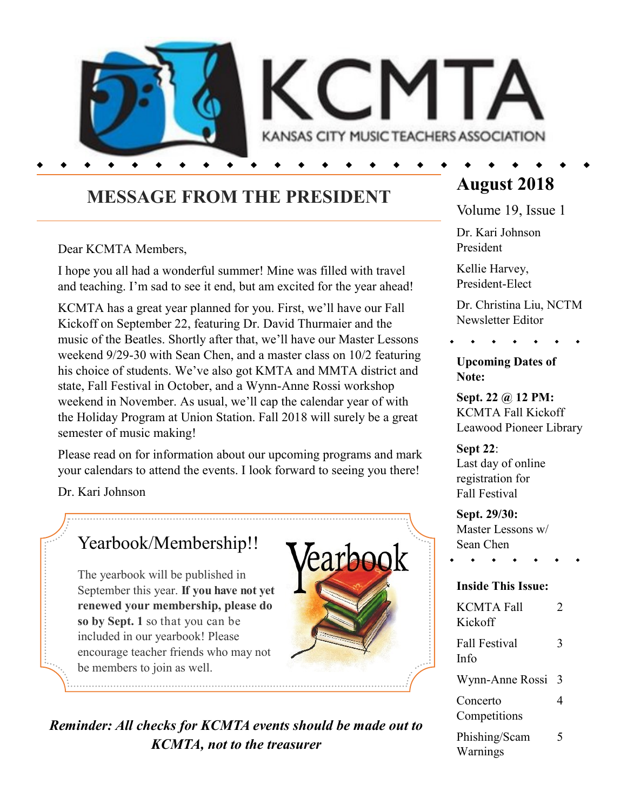

## **MESSAGE FROM THE PRESIDENT**

Dear KCMTA Members,

I hope you all had a wonderful summer! Mine was filled with travel and teaching. I'm sad to see it end, but am excited for the year ahead!

KCMTA has a great year planned for you. First, we'll have our Fall Kickoff on September 22, featuring Dr. David Thurmaier and the music of the Beatles. Shortly after that, we'll have our Master Lessons weekend 9/29-30 with Sean Chen, and a master class on 10/2 featuring his choice of students. We've also got KMTA and MMTA district and state, Fall Festival in October, and a Wynn-Anne Rossi workshop weekend in November. As usual, we'll cap the calendar year of with the Holiday Program at Union Station. Fall 2018 will surely be a great semester of music making!

Please read on for information about our upcoming programs and mark your calendars to attend the events. I look forward to seeing you there!

Dr. Kari Johnson

## Yearbook/Membership!!

The yearbook will be published in September this year. **If you have not yet renewed your membership, please do so by Sept. 1** so that you can be included in our yearbook! Please encourage teacher friends who may not be members to join as well.



*Reminder: All checks for KCMTA events should be made out to KCMTA, not to the treasurer*

# **August 2018**

Volume 19, Issue 1

Dr. Kari Johnson President

Kellie Harvey, President-Elect

Dr. Christina Liu, NCTM Newsletter Editor

#### **Upcoming Dates of Note:**

**Sept. 22 @ 12 PM:** KCMTA Fall Kickoff Leawood Pioneer Library

**Sept 22**: Last day of online registration for Fall Festival

**Sept. 29/30:** Master Lessons w/ Sean Chen

#### **Inside This Issue:**

| <b>KCMTA Fall</b><br>Kickoff | 7 |
|------------------------------|---|
| <b>Fall Festival</b><br>Info | 3 |
| Wynn-Anne Rossi              | 3 |
| Concerto<br>Competitions     | 4 |
| Phishing/Scam<br>Warnings    | 5 |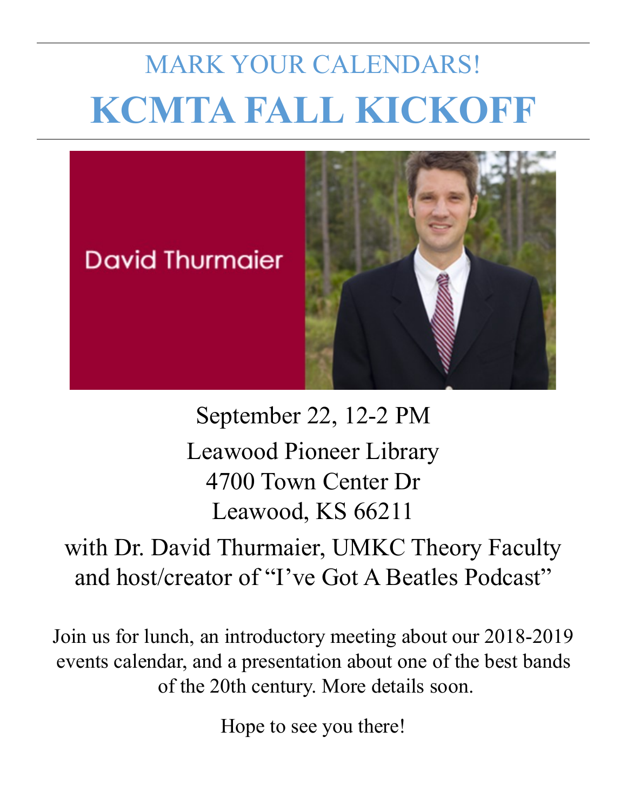# MARK YOUR CALENDARS! **KCMTA FALL KICKOFF**



September 22, 12-2 PM Leawood Pioneer Library 4700 Town Center Dr Leawood, KS 66211

with Dr. David Thurmaier, UMKC Theory Faculty and host/creator of "I've Got A Beatles Podcast"

Join us for lunch, an introductory meeting about our 2018-2019 events calendar, and a presentation about one of the best bands of the 20th century. More details soon.

Hope to see you there!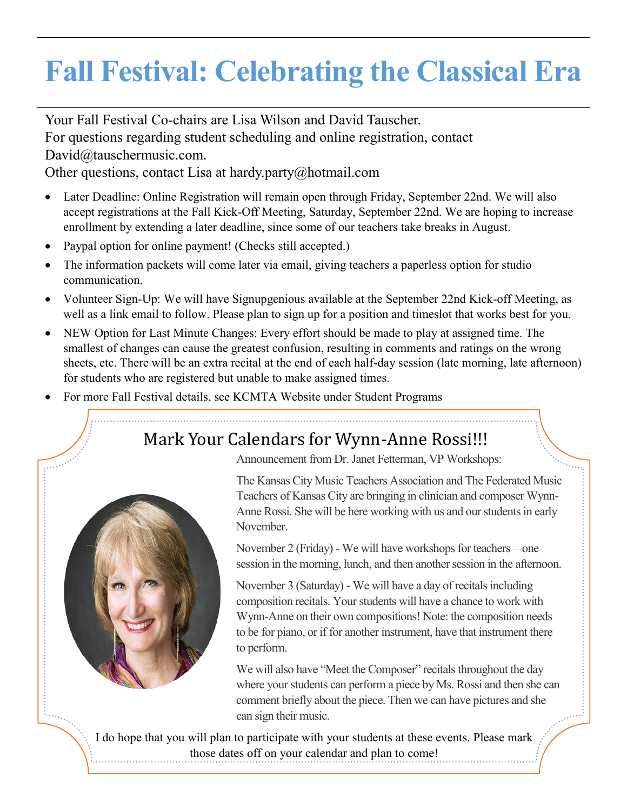# **Fall Festival: Celebrating the Classical Era**

Your Fall Festival Co-chairs are Lisa Wilson and David Tauscher. For questions regarding student scheduling and online registration, contact David@tauschermusic.com.

Other questions, contact Lisa at hardy.party@hotmail.com

- Later Deadline: Online Registration will remain open through Friday, September 22nd. We will also accept registrations at the Fall Kick-Off Meeting, Saturday, September 22nd. We are hoping to increase enrollment by extending a later deadline, since some of our teachers take breaks in August.
- Paypal option for online payment! (Checks still accepted.)
- The information packets will come later via email, giving teachers a paperless option for studio communication.
- Volunteer Sign-Up: We will have Signupgenious available at the September 22nd Kick-off Meeting, as well as a link email to follow. Please plan to sign up for a position and timeslot that works best for you.
- NEW Option for Last Minute Changes: Every effort should be made to play at assigned time. The smallest of changes can cause the greatest confusion, resulting in comments and ratings on the wrong sheets, etc. There will be an extra recital at the end of each half-day session (late morning, late afternoon) for students who are registered but unable to make assigned times.
- For more Fall Festival details, see KCMTA Website under Student Programs

## Mark Your Calendars for Wynn-Anne Rossi!!!



The Kansas City Music Teachers Association and The Federated Music Teachers of Kansas City are bringing in clinician and composer Wynn-Anne Rossi. She will be here working with us and our students in early November.

November 2 (Friday) - We will have workshops for teachers—one session in the morning, lunch, and then another session in the afternoon.

November 3 (Saturday) - We will have a day of recitals including composition recitals. Your students will have a chance to work with Wynn-Anne on their own compositions! Note: the composition needs to be for piano, or if for another instrument, have that instrument there to perform.

We will also have "Meet the Composer" recitals throughout the day where your students can perform a piece by Ms. Rossi and then she can comment briefly about the piece. Then we can have pictures and she can sign their music.

I do hope that you will plan to participate with your students at these events. Please mark those dates off on your calendar and plan to come!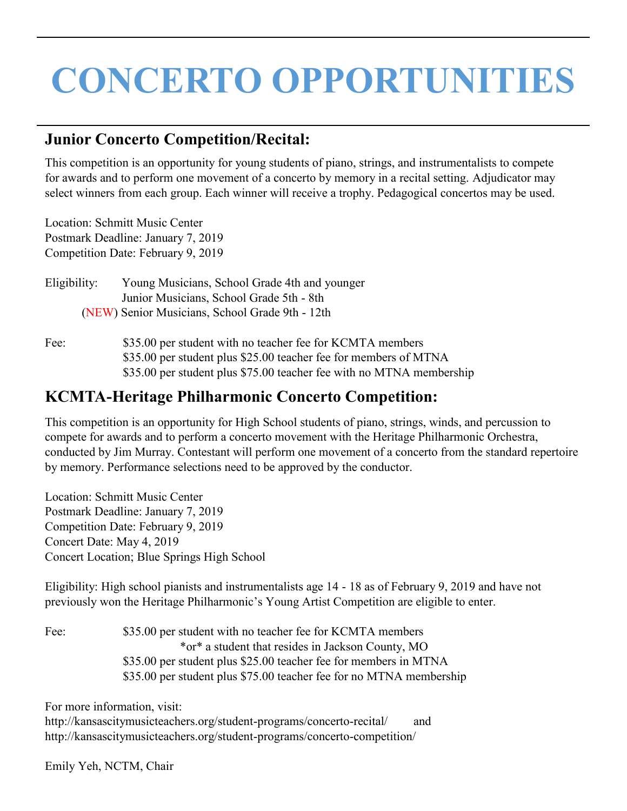# **CONCERTO OPPORTUNITIES**

#### **Junior Concerto Competition/Recital:**

This competition is an opportunity for young students of piano, strings, and instrumentalists to compete for awards and to perform one movement of a concerto by memory in a recital setting. Adjudicator may select winners from each group. Each winner will receive a trophy. Pedagogical concertos may be used.

Location: Schmitt Music Center Postmark Deadline: January 7, 2019 Competition Date: February 9, 2019

Eligibility: Young Musicians, School Grade 4th and younger Junior Musicians, School Grade 5th - 8th (NEW) Senior Musicians, School Grade 9th - 12th

Fee:  $$35.00$  per student with no teacher fee for KCMTA members \$35.00 per student plus \$25.00 teacher fee for members of MTNA \$35.00 per student plus \$75.00 teacher fee with no MTNA membership

#### **KCMTA-Heritage Philharmonic Concerto Competition:**

This competition is an opportunity for High School students of piano, strings, winds, and percussion to compete for awards and to perform a concerto movement with the Heritage Philharmonic Orchestra, conducted by Jim Murray. Contestant will perform one movement of a concerto from the standard repertoire by memory. Performance selections need to be approved by the conductor.

Location: Schmitt Music Center Postmark Deadline: January 7, 2019 Competition Date: February 9, 2019 Concert Date: May 4, 2019 Concert Location; Blue Springs High School

Eligibility: High school pianists and instrumentalists age 14 - 18 as of February 9, 2019 and have not previously won the Heritage Philharmonic's Young Artist Competition are eligible to enter.

| Fee: | \$35.00 per student with no teacher fee for KCMTA members           |
|------|---------------------------------------------------------------------|
|      | *or* a student that resides in Jackson County, MO                   |
|      | \$35.00 per student plus \$25.00 teacher fee for members in MTNA    |
|      | \$35.00 per student plus \$75.00 teacher fee for no MTNA membership |

For more information, visit:

http://kansascitymusicteachers.org/student-programs/concerto-recital/ and http://kansascitymusicteachers.org/student-programs/concerto-competition/

Emily Yeh, NCTM, Chair